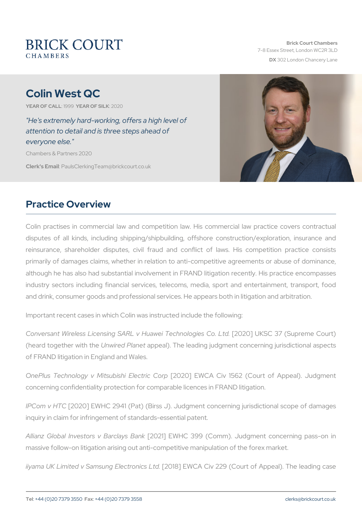# Colin West QC

YEAR OF CALLSLOWEAR OF SIZUAR 0

"He's extremely hard-working, offers a high level of attention to detail and is three steps ahead of everyone else." Chambers & Partners 2020

Clerk's E. Phanull s Clerking Team @ brickcourt.co.uk

### Practice Overview

Colin practises in commercial law and competition law. His commer disputes of all kinds, including shipping/shipbuilding, offshore construction reinsurance, shareholder disputes, civil fraud and conflict of la primarily of damages claims, whether in relation to anti-competitive although he has also had substantial involvement in FRAND litigation industry sectors including financial services, telecoms, media, spo and drink, consumer goods and professional services. He appears both

Important recent cases in which Colin was instructed include the follo

Conversant Wireless Licensing SARL v Hua2n 0e210 Teld KhistaClo337 et Suppremented (heard together Uniwhired e Pappeal). The leading judgment concerning jurisdictional aspects and a of FRAND litigation in England and Wales.

OnePlus Technology v Mitsubishi Elektric Coinp 1562 (Court of Ap concerning confidentiality protection for comparable licences in FRAN

IPCom v [2020] EWHC 2941 (Pat) (Birss J). Judgment concerning jurisdictional scope of damages of damages of damages inquiry in claim for infringement of standards-essential patent.

Allianz Global Investors  $V2$  B2a1r cl E WSH Ba 809 (Comm). Judgment conc massive follow-on litigation arising out anti-competitive manipulation

iiyama UK Limited v Samsun onle CE1 let a Leady Court of Appeal).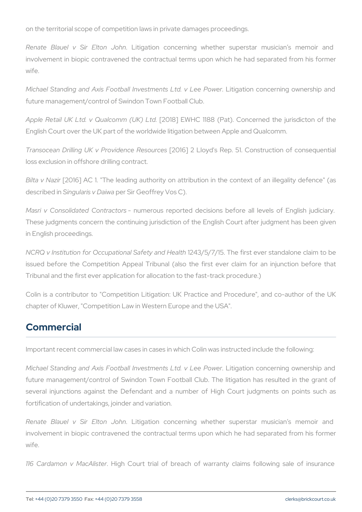on the territorial scope of competition laws in private damages procee

Renate Blauel v Sir LEtlitopantio holon and and the superstar music in the memoir and superstar music involvement in biopic contravened the contractual terms upon which wife.

Michael Standing and Axis Football Investmite gastid tid covicle en in Power of and the Axis Football Investming and  $\overline{\phantom{a}}$ future management/control of Swindon Town Football Club.

Apple Retail UK Ltd.  $v$  Qualcomment E(WHC Ltd88 (Pat). Concerned the English Court over the UK part of the worldwide litigation between Apple

Transocean Drilling UK v Proviedence e 2 Resound construction Transocean Drilling UK v Proviedence 2 Resound Construction loss exclusion in offshore drilling contract.

Bilta v N20zii6] AC 1. "The leading authority on attribution in the context of describe $S$ dinigularis v p Dai $S$ wia Geoffrey Vos C).

Masri v Consolidated Commteactus reported decisions before all level These judgments concern the continuing jurisdiction of the English C in English proceedings.

NCRQ v Institution for Occupation & P4S3a/15e/17y/1a5nd The aflit thst ever standal issued before the Competition Appeal Tribunal (also the first ever Tribunal and the first ever application for allocation to the fast-track

Colin is a contributor to "Competition Litigation: UK Practice and F chapter of Kluwer, "Competition Law in Western Europe and the USA".

#### Commercial

Important recent commercial law cases in cases in which Colin was inst

Michael Standing and Axis Football Investmiteigrassidunt dcovncleerein Pgowoewne future management/control of Swindon Town Football Club. The litig several injunctions against the Defendant and a number of High fortification of undertakings, joinder and variation.

Renate Blauel v Sir LEtlitgantion boncerning whether superstar m involvement in biopic contravened the contractual terms upon which wife.

116 Cardamon v. Maghli Stoeurt trial of breach of warranty claims f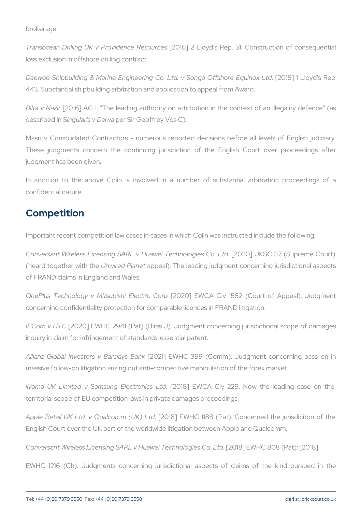brokerage.

Transocean Drilling UK v Proviedence e 2 Resound 'cse s Rep. 51. Construction loss exclusion in offshore drilling contract.

Daewoo Shipbuilding & Marine Engineering Co. Ltd. [20\$8] ng1a LO 6fysch's 443. Substantial shipbuilding arbitration and application to appeal fro

Bilta v Madzion and AC 1. "The leading authority on attribution in the context of an interest of an interest of describe Sdinigularis v p DaiSwina Geoffrey Vos C).

Masri v Consolidated Contractors - numerous reported decisions be These judgments concern the continuing jurisdiction of the Eng judgment has been given.

In addition to the above Colin is involved in a number of sub confidential nature.

## Competition

Important recent competition law cases in cases in which Colin was in

Conversant Wireless Licensing SARL v Hua [v2e0i2 T] e cUhki 8 Cog3 es (SCuopretinck (heard together Uniwhire Indeplane potential). The leading judgment concerning jurisdictional aspects of  $\alpha$ of FRAND claims in England and Wales.

OnePlus Technology v Mitsubishi Elektric Coinp 1562 (Court of Ap concerning confidentiality protection for comparable licences in FRAN

IPCom v H2TO 20] EWHC 2941 (Pat) (Birss J). Judgment concerning jurisdictional scope of damages of damages of the damages of the damages of the damages of the damages of damages of damages of the damages of damages of dama inquiry in claim for infringement of standards-essential patent.

Allianz Global Investors (20B2a1rcl& WSH Ba B & 9 (Comm). Judgment conc massive follow-on litigation arising out anti-competitive manipulation

iiyama UK Limited v Samsung [2018] 2018 AVCA LG dv 229. Now the lea territorial scope of EU competition laws in private damages proceedin

Apple Retail UK Ltd. v Qual[200m168] (EUMMHOLtd188 (Pat). Concerned the English Court over the UK part of the worldwide litigation between App

Conversant Wireless Licensing SARL v Hua [v2e0i1 B & cEh W b HO g 8 0 8 CPat Ltd 2018]

EWHC 1216 (Ch). Judgments concerning jurisdictional aspects of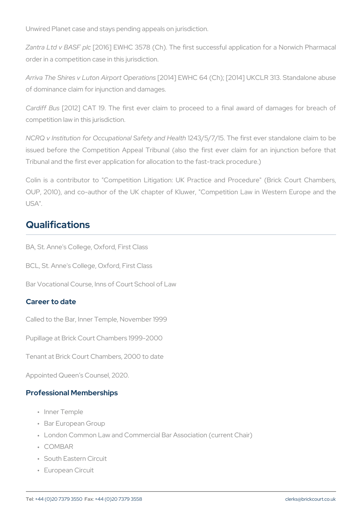Unwired Planet case and stays pending appeals on jurisdiction.

Zantra Ltd v B $M2\$ B 6qld WHC 3578 (Ch). The first successful application order in a competition case in this jurisdiction.

Arriva The Shires v Luton A[2p0dr4t] CEpVeHaCti6  $4s$  (Ch); [2014] UKCLR 313. of dominance claim for injunction and damages.

Cardiff  $B20$12$ ] CAT 19. The first ever claim to proceed to a final competition law in this jurisdiction.

NCRQ v Institution for Occupation & P4S3a/15e/17y/1a5nd The aflit thst ever standal issued before the Competition Appeal Tribunal (also the first ever Tribunal and the first ever application for allocation to the fast-track

Colin is a contributor to "Competition Litigation: UK Practice and OUP, 2010), and co-author of the UK chapter of Kluwer, "Competition USA".

### Qualifications

BA, St. Anne's College, Oxford, First Class

BCL, St. Anne's College, Oxford, First Class

Bar Vocational Course, Inns of Court School of Law

#### Career to date

Called to the Bar, Inner Temple, November 1999

Pupillage at Brick Court Chambers 1999-2000

Tenant at Brick Court Chambers, 2000 to date

Appointed Queen s Counsel, 2020.

#### Professional Memberships

- " Inner Temple
- " Bar European Group
- " London Common Law and Commercial Bar Association (current Cha
- " COMBAR
- " South Eastern Circuit
- " European Circuit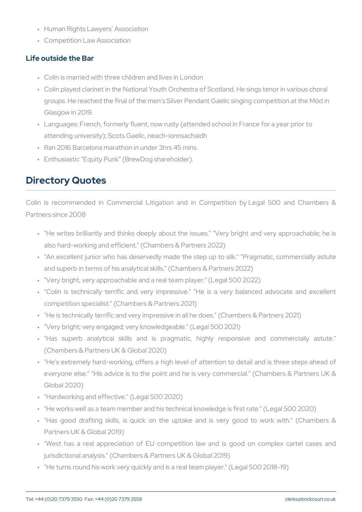- " Human Rights Lawyers' Association
- " Competition Law Association

#### Life outside the Bar

- " Colin is married with three children and lives in London
- " Colin played clarinet in the National Youth Orchestra of Scotland. groups. He reached the final of the men s Silver Pendant Gaelic si Glasgow in 2019.
- " Languages: French, formerly fluent, now rusty (attended school in attending university); Scots Gaelic, neach-ionnsachaidh
- " Ran 2016 Barcelona marathon in under 3hrs 45 mins.
- " Enthusiastic Equity Punk (BrewDog shareholder).

### Directory Quotes

Colin is recommended in Commercial Litigation and in Competition Partners since 2008

- " "He writes brilliantly and thinks deeply about the issues." "Very also hard-working and efficient." (Chambers & Partners 2022)
- " "An excellent junior who has deservedly made the step up to silk and superb in terms of his analytical skills." (Chambers & Partners " "Very bright, very approachable and a real team player." (Legal 50 " "Colin is technically terrific and very impressive." "He is a ve competition specialist." (Chambers & Partners 2021)
- " "He is technically terrific and very impressive in all he does." (Ch " "Very bright; very engaged; very knowledgeable." (Legal 500 2021) " "Has superb analytical skills and is pragmatic, highly re (Chambers & Partners UK & Global 2020)
- " "He's extremely hard-working, offers a high level of attention to everyone else." "His advice is to the point and he is very comme Global 2020)
- " "Hardworking and effective." (Legal 500 2020)
- " "He works well as a team member and his technical knowledge is f
- " "Has good drafting skills, is quick on the uptake and is very Partners UK & Global 2019)
- " West has a real appreciation of EU competition law and is g jurisdictional analysis." (Chambers & Partners UK & Global 2019)
- " "He turns round his work very quickly and is a real team player." (